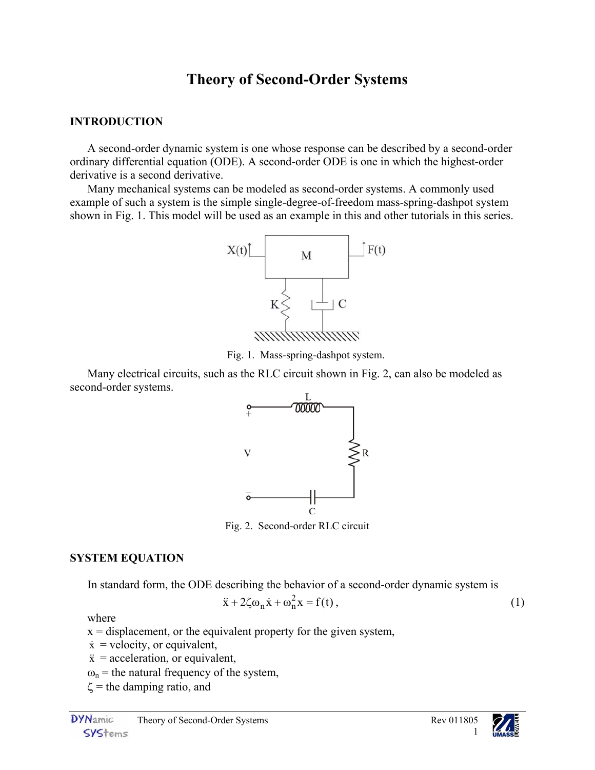# **Theory of Second-Order Systems**

#### **INTRODUCTION**

A second-order dynamic system is one whose response can be described by a second-order ordinary differential equation (ODE). A second-order ODE is one in which the highest-order derivative is a second derivative.

Many mechanical systems can be modeled as second-order systems. A commonly used example of such a system is the simple single-degree-of-freedom mass-spring-dashpot system shown in [Fig. 1.](#page-0-0) This model will be used as an example in this and other tutorials in this series.

<span id="page-0-0"></span>

Fig. 1. Mass-spring-dashpot system.

Many electrical circuits, such as the RLC circuit shown in [Fig. 2,](#page-0-1) can also be modeled as second-order systems.

<span id="page-0-1"></span>

Fig. 2. Second-order RLC circuit

#### **SYSTEM EQUATION**

In standard form, the ODE describing the behavior of a second-order dynamic system is

$$
\ddot{x} + 2\zeta \omega_n \dot{x} + \omega_n^2 x = f(t), \qquad (1)
$$

where

- $x =$  displacement, or the equivalent property for the given system,
- $\dot{x}$  = velocity, or equivalent,
- $\ddot{x}$  = acceleration, or equivalent,
- $\omega_n$  = the natural frequency of the system,
- $\zeta$  = the damping ratio, and

<span id="page-0-2"></span>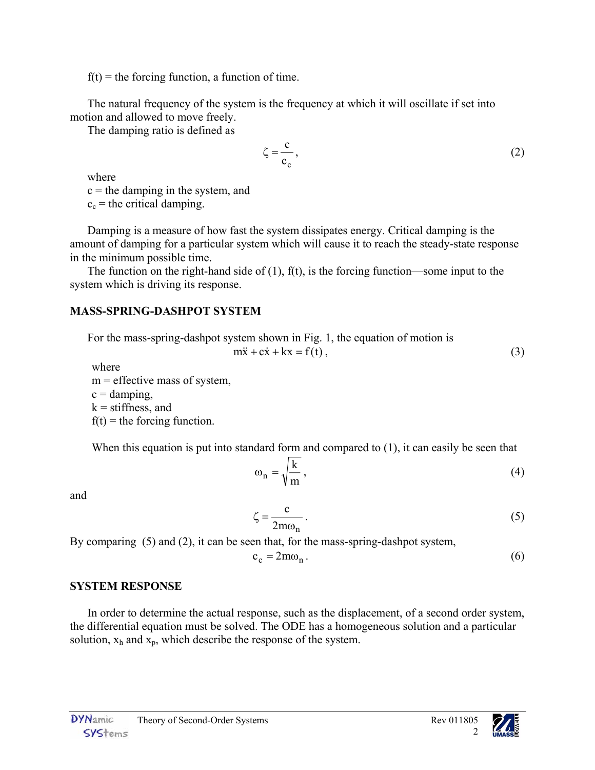$f(t)$  = the forcing function, a function of time.

The natural frequency of the system is the frequency at which it will oscillate if set into motion and allowed to move freely.

The damping ratio is defined as

<span id="page-1-0"></span>
$$
\zeta = \frac{c}{c_c},\tag{2}
$$

where

 $c =$  the damping in the system, and

 $c_c$  = the critical damping.

Damping is a measure of how fast the system dissipates energy. Critical damping is the amount of damping for a particular system which will cause it to reach the steady-state response in the minimum possible time.

The function on the right-hand side of  $(1)$ ,  $f(t)$ , is the forcing function—some input to the system which is driving its response.

# **MASS-SPRING-DASHPOT SYSTEM**

For the mass-spring-dashpot system shown in [Fig. 1,](#page-0-0) the equation of motion is  $m\ddot{x} + c\dot{x} + kx = f(t)$ , ([3\)](#page-1-1)

where  $m =$  effective mass of system,  $c =$  damping,  $k =$  stiffness, and  $f(t) =$  the forcing function.

When this equation is put into standard form and compared to [\(1\)](#page-0-2), it can easily be seen that

<span id="page-1-1"></span>
$$
\omega_n = \sqrt{\frac{k}{m}},\tag{4}
$$

and

$$
\zeta = \frac{c}{2m\omega_n} \,. \tag{5}
$$

By comparing [\(5\)](#page-1-3) and [\(2\)](#page-1-0), it can be seen that, for the mass-spring-dashpot system,

$$
c_c = 2m\omega_n. \tag{6}
$$

# **SYSTEM RESPONSE**

In order to determine the actual response, such as the displacement, of a second order system, the differential equation must be solved. The ODE has a homogeneous solution and a particular solution,  $x_h$  and  $x_p$ , which describe the response of the system.

<span id="page-1-4"></span><span id="page-1-3"></span><span id="page-1-2"></span>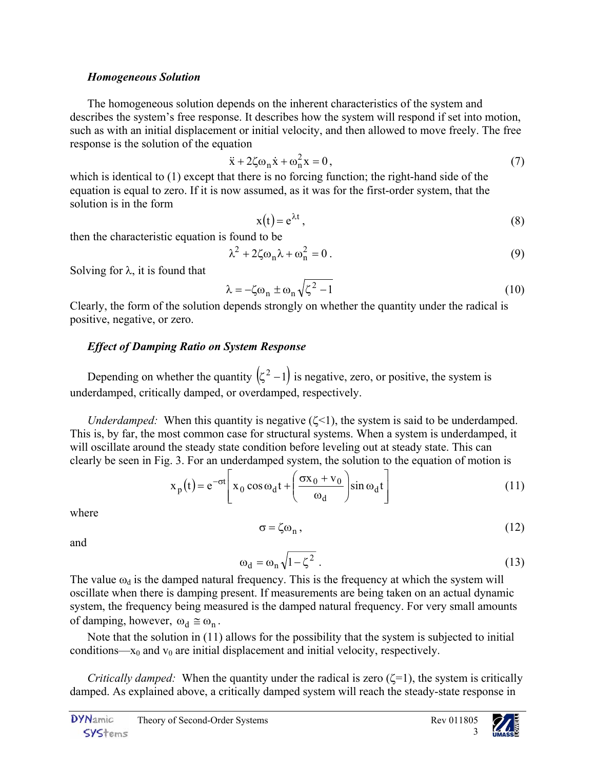#### *Homogeneous Solution*

The homogeneous solution depends on the inherent characteristics of the system and describes the system's free response. It describes how the system will respond if set into motion, such as with an initial displacement or initial velocity, and then allowed to move freely. The free response is the solution of the equation

$$
\ddot{x} + 2\zeta \omega_n \dot{x} + \omega_n^2 x = 0, \qquad (7)
$$

which is identical to [\(1\)](#page-0-2) except that there is no forcing function; the right-hand side of the equation is equal to zero. If it is now assumed, as it was for the first-order system, that the solution is in the form

<span id="page-2-3"></span><span id="page-2-2"></span><span id="page-2-1"></span><span id="page-2-0"></span>
$$
x(t) = e^{\lambda t}, \qquad (8)
$$

then the characteristic equation is found to be

$$
\lambda^2 + 2\zeta \omega_n \lambda + \omega_n^2 = 0. \tag{9}
$$

Solving for  $\lambda$ , it is found that

$$
\lambda = -\zeta \omega_n \pm \omega_n \sqrt{\zeta^2 - 1} \tag{10}
$$

Clearly, the form of the solution depends strongly on whether the quantity under the radical is positive, negative, or zero.

### *Effect of Damping Ratio on System Response*

Depending on whether the quantity  $(z^2 - 1)$  is negative, zero, or positive, the system is underdamped, critically damped, or overdamped, respectively.

*Underdamped:* When this quantity is negative  $(\zeta \le 1)$ , the system is said to be underdamped. This is, by far, the most common case for structural systems. When a system is underdamped, it will oscillate around the steady state condition before leveling out at steady state. This can clearly be seen in [Fig. 3.](#page-3-0) For an underdamped system, the solution to the equation of motion is

$$
x_p(t) = e^{-\sigma t} \left[ x_0 \cos \omega_d t + \left( \frac{\sigma x_0 + v_0}{\omega_d} \right) \sin \omega_d t \right]
$$
 (11)

where

$$
\sigma = \zeta \omega_n, \tag{12}
$$

and

$$
\omega_{\rm d} = \omega_{\rm n} \sqrt{1 - \zeta^2} \tag{13}
$$

The value  $\omega_d$  is the damped natural frequency. This is the frequency at which the system will oscillate when there is damping present. If measurements are being taken on an actual dynamic system, the frequency being measured is the damped natural frequency. For very small amounts of damping, however,  $\omega_d \approx \omega_n$ .

Note that the solution in [\(11\)](#page-2-4) allows for the possibility that the system is subjected to initial conditions— $x_0$  and  $v_0$  are initial displacement and initial velocity, respectively.

*Critically damped:* When the quantity under the radical is zero (ζ=1), the system is critically damped. As explained above, a critically damped system will reach the steady-state response in

<span id="page-2-6"></span><span id="page-2-5"></span><span id="page-2-4"></span>